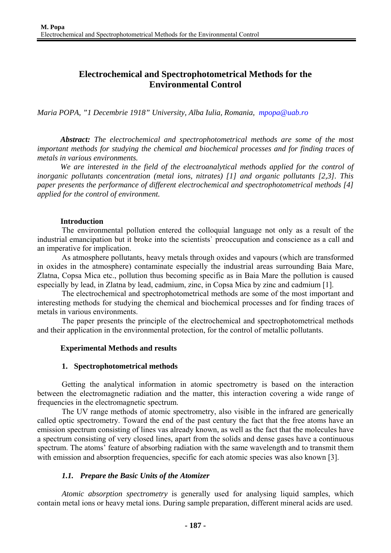# **Electrochemical and Spectrophotometrical Methods for the Environmental Control**

*Maria POPA, "1 Decembrie 1918" University, Alba Iulia, Romania, mpopa@uab.ro*

*Abstract: The electrochemical and spectrophotometrical methods are some of the most important methods for studying the chemical and biochemical processes and for finding traces of metals in various environments.* 

We are interested in the field of the electroanalytical methods applied for the control of *inorganic pollutants concentration (metal ions, nitrates) [1] and organic pollutants [2,3]. This paper presents the performance of different electrochemical and spectrophotometrical methods [4] applied for the control of environment.* 

#### **Introduction**

The environmental pollution entered the colloquial language not only as a result of the industrial emancipation but it broke into the scientists` preoccupation and conscience as a call and an imperative for implication.

As atmosphere pollutants, heavy metals through oxides and vapours (which are transformed in oxides in the atmosphere) contaminate especially the industrial areas surrounding Baia Mare, Zlatna, Copsa Mica etc., pollution thus becoming specific as in Baia Mare the pollution is caused especially by lead, in Zlatna by lead, cadmium, zinc, in Copsa Mica by zinc and cadmium [1].

The electrochemical and spectrophotometrical methods are some of the most important and interesting methods for studying the chemical and biochemical processes and for finding traces of metals in various environments.

The paper presents the principle of the electrochemical and spectrophotometrical methods and their application in the environmental protection, for the control of metallic pollutants.

#### **Experimental Methods and results**

#### **1. Spectrophotometrical methods**

Getting the analytical information in atomic spectrometry is based on the interaction between the electromagnetic radiation and the matter, this interaction covering a wide range of frequencies in the electromagnetic spectrum.

The UV range methods of atomic spectrometry, also visible in the infrared are generically called optic spectrometry. Toward the end of the past century the fact that the free atoms have an emission spectrum consisting of lines vas already known, as well as the fact that the molecules have a spectrum consisting of very closed lines, apart from the solids and dense gases have a continuous spectrum. The atoms' feature of absorbing radiation with the same wavelength and to transmit them with emission and absorption frequencies, specific for each atomic species was also known [3].

## *1.1. Prepare the Basic Units of the Atomizer*

*Atomic absorption spectrometry* is generally used for analysing liquid samples, which contain metal ions or heavy metal ions. During sample preparation, different mineral acids are used.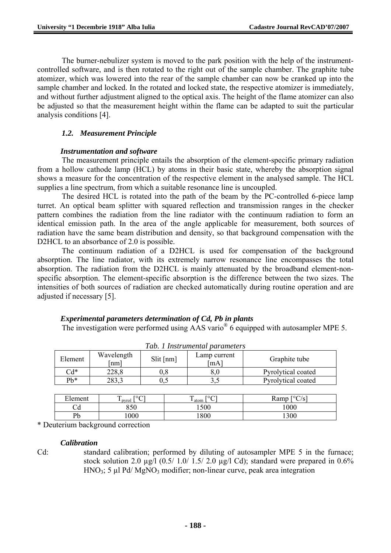The burner-nebulizer system is moved to the park position with the help of the instrumentcontrolled software, and is then rotated to the right out of the sample chamber. The graphite tube atomizer, which was lowered into the rear of the sample chamber can now be cranked up into the sample chamber and locked. In the rotated and locked state, the respective atomizer is immediately, and without further adjustment aligned to the optical axis. The height of the flame atomizer can also be adjusted so that the measurement height within the flame can be adapted to suit the particular analysis conditions [4].

## *1.2. Measurement Principle*

## *Instrumentation and software*

The measurement principle entails the absorption of the element-specific primary radiation from a hollow cathode lamp (HCL) by atoms in their basic state, whereby the absorption signal shows a measure for the concentration of the respective element in the analysed sample. The HCL supplies a line spectrum, from which a suitable resonance line is uncoupled.

The desired HCL is rotated into the path of the beam by the PC-controlled 6-piece lamp turret. An optical beam splitter with squared reflection and transmission ranges in the checker pattern combines the radiation from the line radiator with the continuum radiation to form an identical emission path. In the area of the angle applicable for measurement, both sources of radiation have the same beam distribution and density, so that background compensation with the D<sub>2</sub>HCL to an absorbance of 2.0 is possible.

The continuum radiation of a D2HCL is used for compensation of the background absorption. The line radiator, with its extremely narrow resonance line encompasses the total absorption. The radiation from the D2HCL is mainly attenuated by the broadband element-nonspecific absorption. The element-specific absorption is the difference between the two sizes. The intensities of both sources of radiation are checked automatically during routine operation and are adjusted if necessary [5].

## *Experimental parameters determination of Cd, Pb in plants*

The investigation were performed using  $\angle$ AS vario<sup>®</sup> 6 equipped with autosampler MPE 5.

| Element | Wavelength<br>[nm]                             | $Slit$ [nm] | Lamp current<br>[mA] | Graphite tube                       |  |  |  |
|---------|------------------------------------------------|-------------|----------------------|-------------------------------------|--|--|--|
| $Cd*$   | 228,8                                          | 0,8         | 8,0                  | Pyrolytical coated                  |  |  |  |
| $Pb*$   | 283,3                                          | 0.5         | 3,5                  | Pyrolytical coated                  |  |  |  |
|         |                                                |             |                      |                                     |  |  |  |
| Element | $\Gamma_{\text{pyrol}} \ [\mathrm{^{\circ}C}]$ |             | $\rm T_{atom}$ [°C]  | Ramp $\left[ \degree C / s \right]$ |  |  |  |
| Cd      | 850                                            |             | 1500                 | 1000                                |  |  |  |
| Pb      | 1000                                           |             | 1800                 | 1300                                |  |  |  |

|  | Tab. 1 Instrumental parameters |  |
|--|--------------------------------|--|
|--|--------------------------------|--|

\* Deuterium background correction

#### *Calibration*

Cd: standard calibration; performed by diluting of autosampler MPE 5 in the furnace; stock solution 2.0  $\mu$ g/l (0.5/ 1.0/ 1.5/ 2.0  $\mu$ g/l Cd); standard were prepared in 0.6% HNO<sub>3</sub>; 5 µl Pd/ MgNO<sub>3</sub> modifier; non-linear curve, peak area integration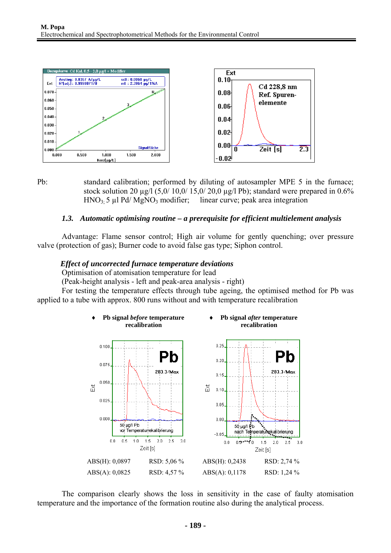

Pb: standard calibration; performed by diluting of autosampler MPE 5 in the furnace; stock solution 20  $\mu$ g/l (5,0/ 10,0/ 15,0/ 20,0  $\mu$ g/l Pb); standard were prepared in 0.6%  $HNO<sub>3</sub>$ : 5 µl Pd/ MgNO<sub>3</sub> modifier; linear curve; peak area integration

## *1.3. Automatic optimising routine – a prerequisite for efficient multielement analysis*

Advantage: Flame sensor control; High air volume for gently quenching; over pressure valve (protection of gas); Burner code to avoid false gas type; Siphon control.

#### *Effect of uncorrected furnace temperature deviations*

Optimisation of atomisation temperature for lead

(Peak-height analysis - left and peak-area analysis - right)

For testing the temperature effects through tube ageing, the optimised method for Pb was applied to a tube with approx. 800 runs without and with temperature recalibration



The comparison clearly shows the loss in sensitivity in the case of faulty atomisation temperature and the importance of the formation routine also during the analytical process.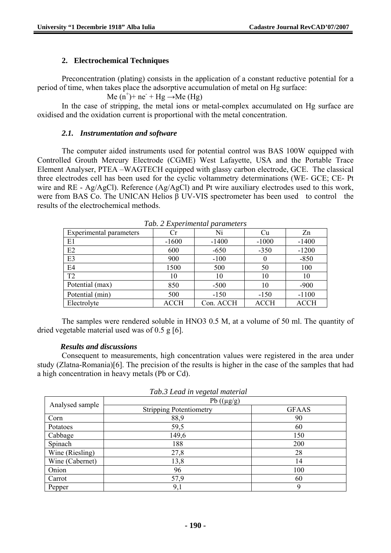## **2. Electrochemical Techniques**

Preconcentration (plating) consists in the application of a constant reductive potential for a period of time, when takes place the adsorptive accumulation of metal on Hg surface:

Me  $(n^+)$ + ne<sup>-</sup> + Hg  $\rightarrow$ Me (Hg)

In the case of stripping, the metal ions or metal-complex accumulated on Hg surface are oxidised and the oxidation current is proportional with the metal concentration.

## *2.1. Instrumentation and software*

The computer aided instruments used for potential control was BAS 100W equipped with Controlled Grouth Mercury Electrode (CGME) West Lafayette, USA and the Portable Trace Element Analyser, PTEA –WAGTECH equipped with glassy carbon electrode, GCE. The classical three electrodes cell has been used for the cyclic voltammetry determinations (WE- GCE; CE- Pt wire and RE - Ag/AgCl). Reference (Ag/AgCl) and Pt wire auxiliary electrodes used to this work, were from BAS Co. The UNICAN Helios β UV-VIS spectrometer has been used to control the results of the electrochemical methods.

| $1.001$ = $1.000$ change intervented pour corrections |             |           |             |             |  |  |  |
|-------------------------------------------------------|-------------|-----------|-------------|-------------|--|--|--|
| Experimental parameters                               | Сr          | Ni        | Cu          | Zn          |  |  |  |
| E1                                                    | $-1600$     | $-1400$   | $-1000$     | $-1400$     |  |  |  |
| E2                                                    | 600         | $-650$    | $-350$      | $-1200$     |  |  |  |
| E <sub>3</sub>                                        | 900         | $-100$    |             | $-850$      |  |  |  |
| E4                                                    | 1500        | 500       | 50          | 100         |  |  |  |
| T <sub>2</sub>                                        | 10          | 10        | 10          | 10          |  |  |  |
| Potential (max)                                       | 850         | $-500$    | 10          | $-900$      |  |  |  |
| Potential (min)                                       | 500         | $-150$    | $-150$      | $-1100$     |  |  |  |
| Electrolyte                                           | <b>ACCH</b> | Con. ACCH | <b>ACCH</b> | <b>ACCH</b> |  |  |  |

*Tab. 2 Experimental parameters* 

The samples were rendered soluble in HNO3 0.5 M, at a volume of 50 ml. The quantity of dried vegetable material used was of 0.5 g [6].

## *Results and discussions*

Consequent to measurements, high concentration values were registered in the area under study (Zlatna-Romania)[6]. The precision of the results is higher in the case of the samples that had a high concentration in heavy metals (Pb or Cd).

| Analysed sample | Pb $((\mu g/g))$               |              |  |  |
|-----------------|--------------------------------|--------------|--|--|
|                 | <b>Stripping Potentiometry</b> | <b>GFAAS</b> |  |  |
| Corn            | 88,9                           | 90           |  |  |
| Potatoes        | 59,5                           | 60           |  |  |
| Cabbage         | 149,6                          | 150          |  |  |
| Spinach         | 188                            | 200          |  |  |
| Wine (Riesling) | 27,8                           | 28           |  |  |
| Wine (Cabernet) | 13,8                           | 14           |  |  |
| Onion           | 96                             | 100          |  |  |
| Carrot          | 57,9                           | 60           |  |  |
| Pepper          | 9,1                            | 9            |  |  |

 *Tab.3 Lead in vegetal material*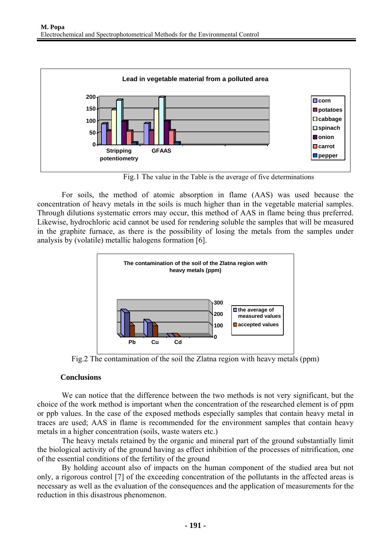

Fig.1 The value in the Table is the average of five determinations

For soils, the method of atomic absorption in flame (AAS) was used because the concentration of heavy metals in the soils is much higher than in the vegetable material samples. Through dilutions systematic errors may occur, this method of AAS in flame being thus preferred. Likewise, hydrochloric acid cannot be used for rendering soluble the samples that will be measured in the graphite furnace, as there is the possibility of losing the metals from the samples under analysis by (volatile) metallic halogens formation [6].



Fig.2 The contamination of the soil the Zlatna region with heavy metals (ppm)

## **Conclusions**

We can notice that the difference between the two methods is not very significant, but the choice of the work method is important when the concentration of the researched element is of ppm or ppb values. In the case of the exposed methods especially samples that contain heavy metal in traces are used; AAS in flame is recommended for the environment samples that contain heavy metals in a higher concentration (soils, waste waters etc.)

The heavy metals retained by the organic and mineral part of the ground substantially limit the biological activity of the ground having as effect inhibition of the processes of nitrification, one of the essential conditions of the fertility of the ground

By holding account also of impacts on the human component of the studied area but not only, a rigorous control [7] of the exceeding concentration of the pollutants in the affected areas is necessary as well as the evaluation of the consequences and the application of measurements for the reduction in this disastrous phenomenon.